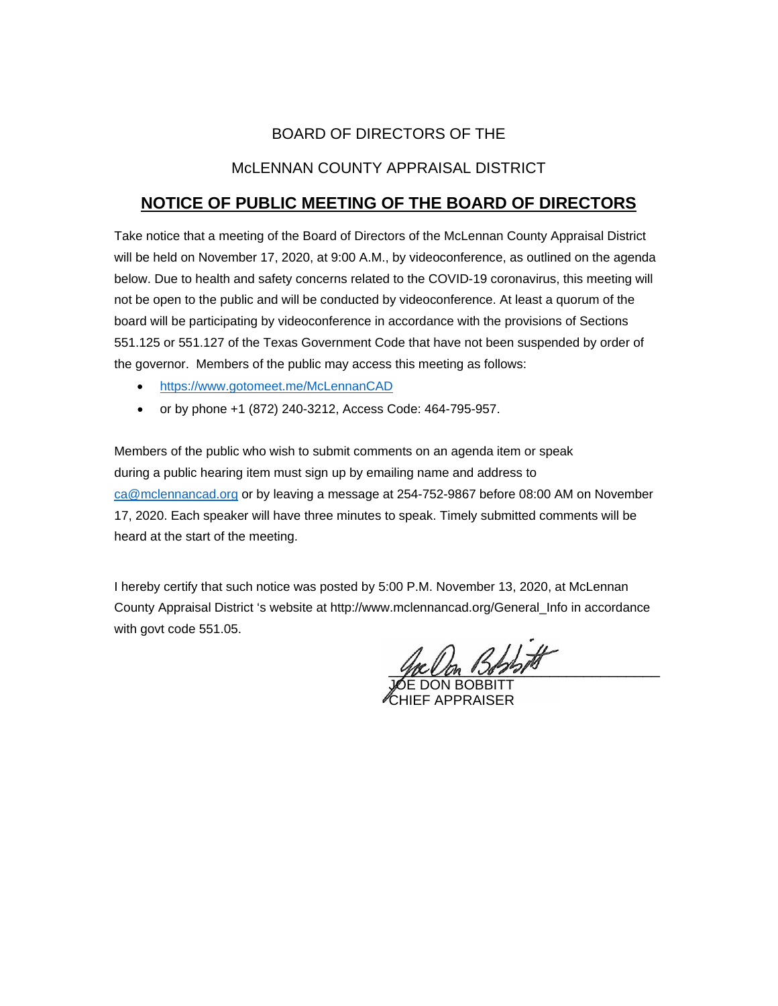# BOARD OF DIRECTORS OF THE

## McLENNAN COUNTY APPRAISAL DISTRICT

# **NOTICE OF PUBLIC MEETING OF THE BOARD OF DIRECTORS**

Take notice that a meeting of the Board of Directors of the McLennan County Appraisal District will be held on November 17, 2020, at 9:00 A.M., by videoconference, as outlined on the agenda below. Due to health and safety concerns related to the COVID-19 coronavirus, this meeting will not be open to the public and will be conducted by videoconference. At least a quorum of the board will be participating by videoconference in accordance with the provisions of Sections 551.125 or 551.127 of the Texas Government Code that have not been suspended by order of the governor. Members of the public may access this meeting as follows:

- <https://www.gotomeet.me/McLennanCAD>
- or by phone +1 (872) 240-3212, Access Code: 464-795-957.

Members of the public who wish to submit comments on an agenda item or speak during a public hearing item must sign up by emailing name and address to [ca@mclennancad.org](mailto:ca@mclennancad.org) or by leaving a message at 254-752-9867 before 08:00 AM on November 17, 2020. Each speaker will have three minutes to speak. Timely submitted comments will be heard at the start of the meeting.

I hereby certify that such notice was posted by 5:00 P.M. November 13, 2020, at McLennan County Appraisal District 's website at http://www.mclennancad.org/General\_Info in accordance with govt code 551.05.

 $3.455$  off

JOE DON BOBBITT CHIEF APPRAISER